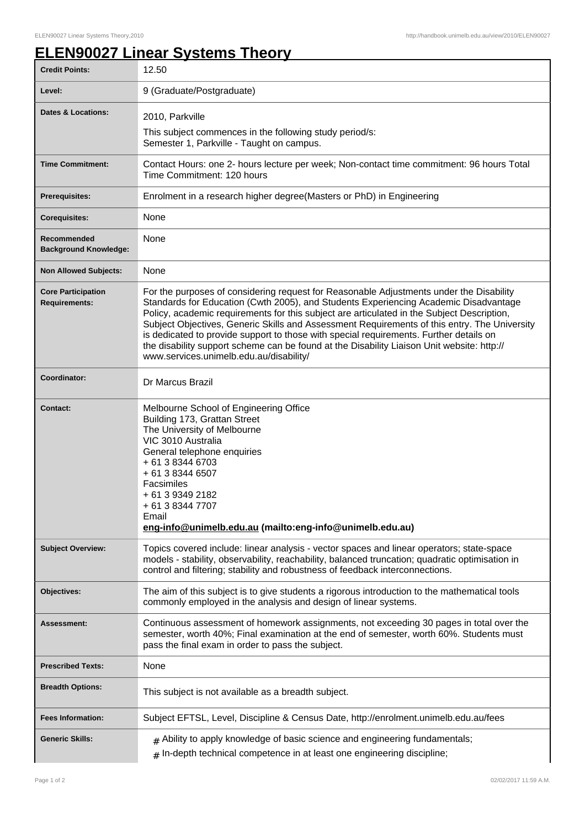## **ELEN90027 Linear Systems Theory**

| <b>Credit Points:</b>                             | 12.50                                                                                                                                                                                                                                                                                                                                                                                                                                                                                                                                                                                                            |
|---------------------------------------------------|------------------------------------------------------------------------------------------------------------------------------------------------------------------------------------------------------------------------------------------------------------------------------------------------------------------------------------------------------------------------------------------------------------------------------------------------------------------------------------------------------------------------------------------------------------------------------------------------------------------|
| Level:                                            | 9 (Graduate/Postgraduate)                                                                                                                                                                                                                                                                                                                                                                                                                                                                                                                                                                                        |
| <b>Dates &amp; Locations:</b>                     | 2010, Parkville                                                                                                                                                                                                                                                                                                                                                                                                                                                                                                                                                                                                  |
|                                                   | This subject commences in the following study period/s:<br>Semester 1, Parkville - Taught on campus.                                                                                                                                                                                                                                                                                                                                                                                                                                                                                                             |
| <b>Time Commitment:</b>                           | Contact Hours: one 2- hours lecture per week; Non-contact time commitment: 96 hours Total<br>Time Commitment: 120 hours                                                                                                                                                                                                                                                                                                                                                                                                                                                                                          |
| <b>Prerequisites:</b>                             | Enrolment in a research higher degree (Masters or PhD) in Engineering                                                                                                                                                                                                                                                                                                                                                                                                                                                                                                                                            |
| <b>Corequisites:</b>                              | None                                                                                                                                                                                                                                                                                                                                                                                                                                                                                                                                                                                                             |
| Recommended<br><b>Background Knowledge:</b>       | None                                                                                                                                                                                                                                                                                                                                                                                                                                                                                                                                                                                                             |
| <b>Non Allowed Subjects:</b>                      | None                                                                                                                                                                                                                                                                                                                                                                                                                                                                                                                                                                                                             |
| <b>Core Participation</b><br><b>Requirements:</b> | For the purposes of considering request for Reasonable Adjustments under the Disability<br>Standards for Education (Cwth 2005), and Students Experiencing Academic Disadvantage<br>Policy, academic requirements for this subject are articulated in the Subject Description,<br>Subject Objectives, Generic Skills and Assessment Requirements of this entry. The University<br>is dedicated to provide support to those with special requirements. Further details on<br>the disability support scheme can be found at the Disability Liaison Unit website: http://<br>www.services.unimelb.edu.au/disability/ |
| Coordinator:                                      | Dr Marcus Brazil                                                                                                                                                                                                                                                                                                                                                                                                                                                                                                                                                                                                 |
| <b>Contact:</b>                                   | Melbourne School of Engineering Office<br>Building 173, Grattan Street<br>The University of Melbourne<br>VIC 3010 Australia<br>General telephone enquiries<br>+ 61 3 8344 6703<br>+ 61 3 8344 6507<br>Facsimiles<br>+ 61 3 9349 2182<br>+ 61 3 8344 7707<br>Email<br>eng-info@unimelb.edu.au (mailto:eng-info@unimelb.edu.au)                                                                                                                                                                                                                                                                                    |
| <b>Subject Overview:</b>                          | Topics covered include: linear analysis - vector spaces and linear operators; state-space<br>models - stability, observability, reachability, balanced truncation; quadratic optimisation in<br>control and filtering; stability and robustness of feedback interconnections.                                                                                                                                                                                                                                                                                                                                    |
| Objectives:                                       | The aim of this subject is to give students a rigorous introduction to the mathematical tools<br>commonly employed in the analysis and design of linear systems.                                                                                                                                                                                                                                                                                                                                                                                                                                                 |
| Assessment:                                       | Continuous assessment of homework assignments, not exceeding 30 pages in total over the<br>semester, worth 40%; Final examination at the end of semester, worth 60%. Students must<br>pass the final exam in order to pass the subject.                                                                                                                                                                                                                                                                                                                                                                          |
| <b>Prescribed Texts:</b>                          | None                                                                                                                                                                                                                                                                                                                                                                                                                                                                                                                                                                                                             |
| <b>Breadth Options:</b>                           | This subject is not available as a breadth subject.                                                                                                                                                                                                                                                                                                                                                                                                                                                                                                                                                              |
| <b>Fees Information:</b>                          | Subject EFTSL, Level, Discipline & Census Date, http://enrolment.unimelb.edu.au/fees                                                                                                                                                                                                                                                                                                                                                                                                                                                                                                                             |
| <b>Generic Skills:</b>                            | $#$ Ability to apply knowledge of basic science and engineering fundamentals;<br>$#$ In-depth technical competence in at least one engineering discipline;                                                                                                                                                                                                                                                                                                                                                                                                                                                       |